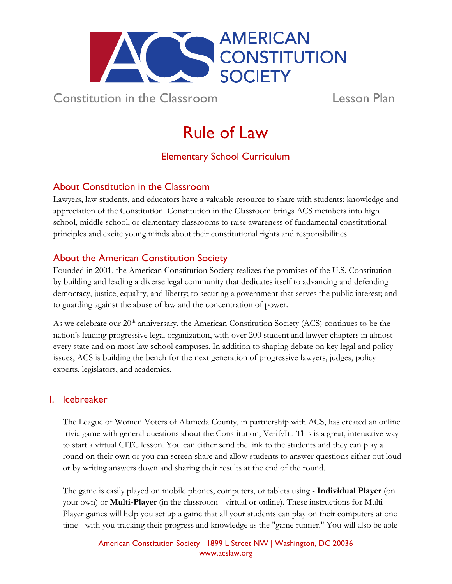

Constitution in the Classroom Lesson Plan

# Rule of Law

# Elementary School Curriculum

## About Constitution in the Classroom

Lawyers, law students, and educators have a valuable resource to share with students: knowledge and appreciation of the Constitution. Constitution in the Classroom brings ACS members into high school, middle school, or elementary classrooms to raise awareness of fundamental constitutional principles and excite young minds about their constitutional rights and responsibilities.

## About the American Constitution Society

Founded in 2001, the American Constitution Society realizes the promises of the U.S. Constitution by building and leading a diverse legal community that dedicates itself to advancing and defending democracy, justice, equality, and liberty; to securing a government that serves the public interest; and to guarding against the abuse of law and the concentration of power.

As we celebrate our  $20<sup>th</sup>$  anniversary, the American Constitution Society (ACS) continues to be the nation's leading progressive legal organization, with over 200 student and lawyer chapters in almost every state and on most law school campuses. In addition to shaping debate on key legal and policy issues, ACS is building the bench for the next generation of progressive lawyers, judges, policy experts, legislators, and academics.

## I. Icebreaker

The League of Women Voters of Alameda County, in partnership with ACS, has created an online trivia game with general questions about the Constitution, VerifyIt!. This is a great, interactive way to start a virtual CITC lesson. You can either send the link to the students and they can play a round on their own or you can screen share and allow students to answer questions either out loud or by writing answers down and sharing their results at the end of the round.

The game is easily played on mobile phones, computers, or tablets using - **Individual Player** (on your own) or **Multi-Player** (in the classroom - virtual or online). These instructions for Multi-Player games will help you set up a game that all your students can play on their computers at one time - with you tracking their progress and knowledge as the "game runner." You will also be able

> American Constitution Society | 1899 L Street NW | Washington, DC 20036 [www.acslaw.org](http://www.acslaw.org/)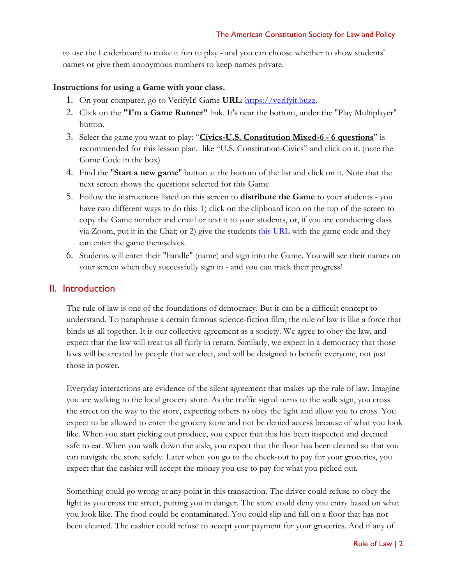to use the Leaderboard to make it fun to play - and you can choose whether to show students' names or give them anonymous numbers to keep names private.

#### **Instructions for using a Game with your class.**

- 1. On your computer, go to VerifyIt! Game **URL**: [https://verifyit.buzz.](https://verifyit.buzz/)
- 2. Click on the **"I'm a Game Runner"** link. It's near the bottom, under the "Play Multiplayer" button.
- 3. Select the game you want to play: "**Civics-U.S. Constitution Mixed-6 - 6 questions**" is recommended for this lesson plan. like "U.S. Constitution-Civics" and click on it. (note the Game Code in the box)
- 4. Find the "**Start a new game**" button at the bottom of the list and click on it. Note that the next screen shows the questions selected for this Game
- 5. Follow the instructions listed on this screen to **distribute the Game** to your students you have two different ways to do this: 1) click on the clipboard icon on the top of the screen to copy the Game number and email or text it to your students, or, if you are conducting class via Zoom, put it in the Chat; or 2) give the students [this URL](https://verifyit.buzz/game/) with the game code and they can enter the game themselves.
- 6. Students will enter their "handle" (name) and sign into the Game. You will see their names on your screen when they successfully sign in - and you can track their progress!

### II. Introduction

The rule of law is one of the foundations of democracy. But it can be a difficult concept to understand. To paraphrase a certain famous science-fiction film, the rule of law is like a force that binds us all together. It is our collective agreement as a society. We agree to obey the law, and expect that the law will treat us all fairly in return. Similarly, we expect in a democracy that those laws will be created by people that we elect, and will be designed to benefit everyone, not just those in power.

Everyday interactions are evidence of the silent agreement that makes up the rule of law. Imagine you are walking to the local grocery store. As the traffic signal turns to the walk sign, you cross the street on the way to the store, expecting others to obey the light and allow you to cross. You expect to be allowed to enter the grocery store and not be denied access because of what you look like. When you start picking out produce, you expect that this has been inspected and deemed safe to eat. When you walk down the aisle, you expect that the floor has been cleaned so that you can navigate the store safely. Later when you go to the check-out to pay for your groceries, you expect that the cashier will accept the money you use to pay for what you picked out.

Something could go wrong at any point in this transaction. The driver could refuse to obey the light as you cross the street, putting you in danger. The store could deny you entry based on what you look like. The food could be contaminated. You could slip and fall on a floor that has not been cleaned. The cashier could refuse to accept your payment for your groceries. And if any of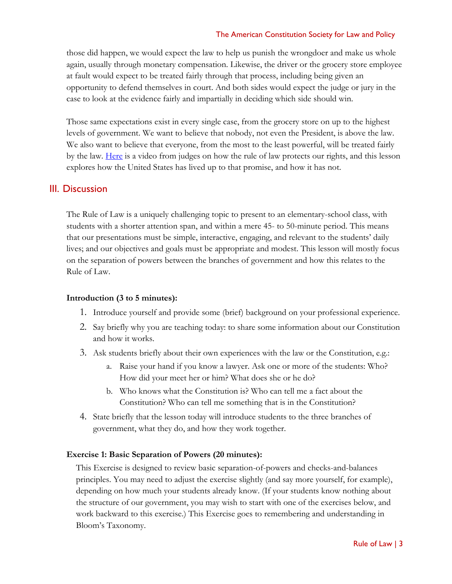#### The American Constitution Society for Law and Policy

those did happen, we would expect the law to help us punish the wrongdoer and make us whole again, usually through monetary compensation. Likewise, the driver or the grocery store employee at fault would expect to be treated fairly through that process, including being given an opportunity to defend themselves in court. And both sides would expect the judge or jury in the case to look at the evidence fairly and impartially in deciding which side should win.

Those same expectations exist in every single case, from the grocery store on up to the highest levels of government. We want to believe that nobody, not even the President, is above the law. We also want to believe that everyone, from the most to the least powerful, will be treated fairly by the law. <u>Here</u> is a video from judges on how the rule of law protects our rights, and this lesson explores how the United States has lived up to that promise, and how it has not.

## III. Discussion

The Rule of Law is a uniquely challenging topic to present to an elementary-school class, with students with a shorter attention span, and within a mere 45- to 50-minute period. This means that our presentations must be simple, interactive, engaging, and relevant to the students' daily lives; and our objectives and goals must be appropriate and modest. This lesson will mostly focus on the separation of powers between the branches of government and how this relates to the Rule of Law.

#### **Introduction (3 to 5 minutes):**

- 1. Introduce yourself and provide some (brief) background on your professional experience.
- 2. Say briefly why you are teaching today: to share some information about our Constitution and how it works.
- 3. Ask students briefly about their own experiences with the law or the Constitution, e.g.:
	- a. Raise your hand if you know a lawyer. Ask one or more of the students: Who? How did your meet her or him? What does she or he do?
	- b. Who knows what the Constitution is? Who can tell me a fact about the Constitution? Who can tell me something that is in the Constitution?
- 4. State briefly that the lesson today will introduce students to the three branches of government, what they do, and how they work together.

#### **Exercise 1: Basic Separation of Powers (20 minutes):**

This Exercise is designed to review basic separation-of-powers and checks-and-balances principles. You may need to adjust the exercise slightly (and say more yourself, for example), depending on how much your students already know. (If your students know nothing about the structure of our government, you may wish to start with one of the exercises below, and work backward to this exercise.) This Exercise goes to remembering and understanding in Bloom's Taxonomy.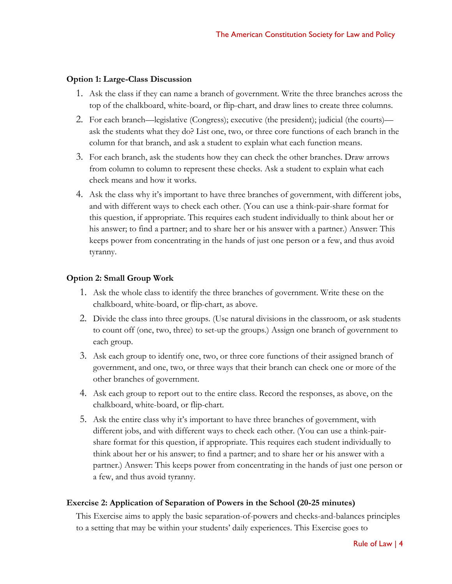#### **Option 1: Large-Class Discussion**

- 1. Ask the class if they can name a branch of government. Write the three branches across the top of the chalkboard, white-board, or flip-chart, and draw lines to create three columns.
- 2. For each branch—legislative (Congress); executive (the president); judicial (the courts) ask the students what they do? List one, two, or three core functions of each branch in the column for that branch, and ask a student to explain what each function means.
- 3. For each branch, ask the students how they can check the other branches. Draw arrows from column to column to represent these checks. Ask a student to explain what each check means and how it works.
- 4. Ask the class why it's important to have three branches of government, with different jobs, and with different ways to check each other. (You can use a think-pair-share format for this question, if appropriate. This requires each student individually to think about her or his answer; to find a partner; and to share her or his answer with a partner.) Answer: This keeps power from concentrating in the hands of just one person or a few, and thus avoid tyranny.

#### **Option 2: Small Group Work**

- 1. Ask the whole class to identify the three branches of government. Write these on the chalkboard, white-board, or flip-chart, as above.
- 2. Divide the class into three groups. (Use natural divisions in the classroom, or ask students to count off (one, two, three) to set-up the groups.) Assign one branch of government to each group.
- 3. Ask each group to identify one, two, or three core functions of their assigned branch of government, and one, two, or three ways that their branch can check one or more of the other branches of government.
- 4. Ask each group to report out to the entire class. Record the responses, as above, on the chalkboard, white-board, or flip-chart.
- 5. Ask the entire class why it's important to have three branches of government, with different jobs, and with different ways to check each other. (You can use a think-pairshare format for this question, if appropriate. This requires each student individually to think about her or his answer; to find a partner; and to share her or his answer with a partner.) Answer: This keeps power from concentrating in the hands of just one person or a few, and thus avoid tyranny.

#### **Exercise 2: Application of Separation of Powers in the School (20-25 minutes)**

This Exercise aims to apply the basic separation-of-powers and checks-and-balances principles to a setting that may be within your students' daily experiences. This Exercise goes to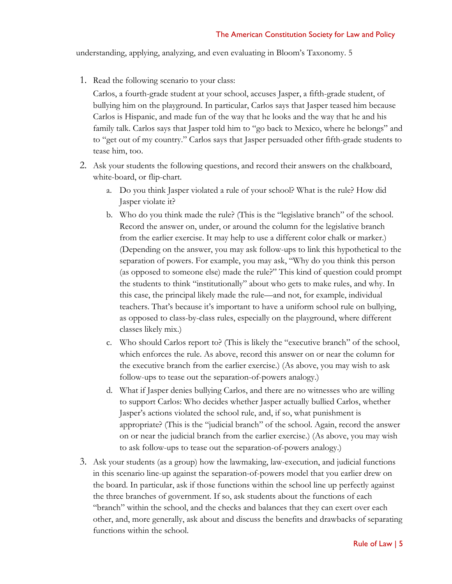understanding, applying, analyzing, and even evaluating in Bloom's Taxonomy. 5

1. Read the following scenario to your class:

Carlos, a fourth-grade student at your school, accuses Jasper, a fifth-grade student, of bullying him on the playground. In particular, Carlos says that Jasper teased him because Carlos is Hispanic, and made fun of the way that he looks and the way that he and his family talk. Carlos says that Jasper told him to "go back to Mexico, where he belongs" and to "get out of my country." Carlos says that Jasper persuaded other fifth-grade students to tease him, too.

- 2. Ask your students the following questions, and record their answers on the chalkboard, white-board, or flip-chart.
	- a. Do you think Jasper violated a rule of your school? What is the rule? How did Jasper violate it?
	- b. Who do you think made the rule? (This is the "legislative branch" of the school. Record the answer on, under, or around the column for the legislative branch from the earlier exercise. It may help to use a different color chalk or marker.) (Depending on the answer, you may ask follow-ups to link this hypothetical to the separation of powers. For example, you may ask, "Why do you think this person (as opposed to someone else) made the rule?" This kind of question could prompt the students to think "institutionally" about who gets to make rules, and why. In this case, the principal likely made the rule—and not, for example, individual teachers. That's because it's important to have a uniform school rule on bullying, as opposed to class-by-class rules, especially on the playground, where different classes likely mix.)
	- c. Who should Carlos report to? (This is likely the "executive branch" of the school, which enforces the rule. As above, record this answer on or near the column for the executive branch from the earlier exercise.) (As above, you may wish to ask follow-ups to tease out the separation-of-powers analogy.)
	- d. What if Jasper denies bullying Carlos, and there are no witnesses who are willing to support Carlos: Who decides whether Jasper actually bullied Carlos, whether Jasper's actions violated the school rule, and, if so, what punishment is appropriate? (This is the "judicial branch" of the school. Again, record the answer on or near the judicial branch from the earlier exercise.) (As above, you may wish to ask follow-ups to tease out the separation-of-powers analogy.)
- 3. Ask your students (as a group) how the lawmaking, law-execution, and judicial functions in this scenario line-up against the separation-of-powers model that you earlier drew on the board. In particular, ask if those functions within the school line up perfectly against the three branches of government. If so, ask students about the functions of each "branch" within the school, and the checks and balances that they can exert over each other, and, more generally, ask about and discuss the benefits and drawbacks of separating functions within the school.